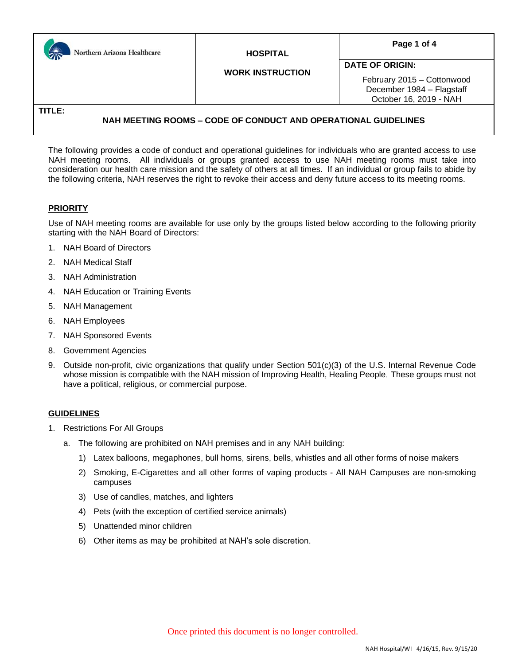| Northern Arizona Healthcare | <b>HOSPITAL</b>         | Page 1 of 4                                                                                                 |  |
|-----------------------------|-------------------------|-------------------------------------------------------------------------------------------------------------|--|
|                             | <b>WORK INSTRUCTION</b> | <b>DATE OF ORIGIN:</b><br>February 2015 - Cottonwood<br>December 1984 - Flagstaff<br>October 16, 2019 - NAH |  |
| TITLE:                      |                         |                                                                                                             |  |

## **NAH MEETING ROOMS – CODE OF CONDUCT AND OPERATIONAL GUIDELINES**

The following provides a code of conduct and operational guidelines for individuals who are granted access to use NAH meeting rooms. All individuals or groups granted access to use NAH meeting rooms must take into consideration our health care mission and the safety of others at all times. If an individual or group fails to abide by the following criteria, NAH reserves the right to revoke their access and deny future access to its meeting rooms.

## **PRIORITY**

Use of NAH meeting rooms are available for use only by the groups listed below according to the following priority starting with the NAH Board of Directors:

- 1. NAH Board of Directors
- 2. NAH Medical Staff
- 3. NAH Administration
- 4. NAH Education or Training Events
- 5. NAH Management
- 6. NAH Employees
- 7. NAH Sponsored Events
- 8. Government Agencies
- 9. Outside non-profit, civic organizations that qualify under Section 501(c)(3) of the U.S. Internal Revenue Code whose mission is compatible with the NAH mission of Improving Health, Healing People. These groups must not have a political, religious, or commercial purpose.

#### **GUIDELINES**

- 1. Restrictions For All Groups
	- a. The following are prohibited on NAH premises and in any NAH building:
		- 1) Latex balloons, megaphones, bull horns, sirens, bells, whistles and all other forms of noise makers
		- 2) Smoking, E-Cigarettes and all other forms of vaping products All NAH Campuses are non-smoking campuses
		- 3) Use of candles, matches, and lighters
		- 4) Pets (with the exception of certified service animals)
		- 5) Unattended minor children
		- 6) Other items as may be prohibited at NAH's sole discretion.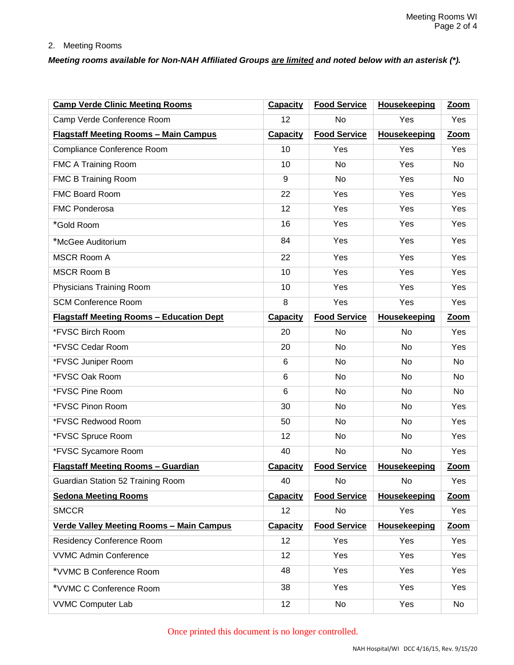### 2. Meeting Rooms

# *Meeting rooms available for Non-NAH Affiliated Groups are limited and noted below with an asterisk (\*).*

| <b>Camp Verde Clinic Meeting Rooms</b>          | <b>Capacity</b> | <b>Food Service</b> | <b>Housekeeping</b> | Zoom        |
|-------------------------------------------------|-----------------|---------------------|---------------------|-------------|
| Camp Verde Conference Room                      | 12              | <b>No</b>           | Yes                 | Yes         |
| <b>Flagstaff Meeting Rooms - Main Campus</b>    | <b>Capacity</b> | <b>Food Service</b> | <b>Housekeeping</b> | Zoom        |
| Compliance Conference Room                      | 10              | Yes                 | Yes                 | Yes         |
| FMC A Training Room                             | 10              | <b>No</b>           | Yes                 | <b>No</b>   |
| <b>FMC B Training Room</b>                      | 9               | <b>No</b>           | Yes                 | <b>No</b>   |
| <b>FMC Board Room</b>                           | 22              | Yes                 | Yes                 | Yes         |
| <b>FMC Ponderosa</b>                            | 12              | Yes                 | Yes                 | Yes         |
| *Gold Room                                      | 16              | Yes                 | Yes                 | Yes         |
| *McGee Auditorium                               | 84              | Yes                 | Yes                 | Yes         |
| <b>MSCR Room A</b>                              | 22              | Yes                 | Yes                 | Yes         |
| <b>MSCR Room B</b>                              | 10              | Yes                 | Yes                 | Yes         |
| Physicians Training Room                        | 10              | Yes                 | Yes                 | Yes         |
| <b>SCM Conference Room</b>                      | 8               | Yes                 | Yes                 | Yes         |
| <b>Flagstaff Meeting Rooms - Education Dept</b> | <b>Capacity</b> | <b>Food Service</b> | <b>Housekeeping</b> | Zoom        |
| *FVSC Birch Room                                | 20              | <b>No</b>           | No                  | Yes         |
| *FVSC Cedar Room                                | 20              | <b>No</b>           | No                  | Yes         |
| *FVSC Juniper Room                              | 6               | No                  | No                  | <b>No</b>   |
| *FVSC Oak Room                                  | 6               | <b>No</b>           | No                  | <b>No</b>   |
| *FVSC Pine Room                                 | 6               | No                  | No                  | <b>No</b>   |
| *FVSC Pinon Room                                | 30              | No                  | No                  | Yes         |
| *FVSC Redwood Room                              | 50              | <b>No</b>           | No                  | Yes         |
| *FVSC Spruce Room                               | 12              | No                  | No                  | Yes         |
| *FVSC Sycamore Room                             | 40              | <b>No</b>           | No                  | Yes         |
| <b>Flagstaff Meeting Rooms - Guardian</b>       | <b>Capacity</b> | <b>Food Service</b> | <b>Housekeeping</b> | Zoom        |
| Guardian Station 52 Training Room               | 40              | No                  | No                  | Yes         |
| <b>Sedona Meeting Rooms</b>                     | <b>Capacity</b> | <b>Food Service</b> | <b>Housekeeping</b> | <b>Zoom</b> |
| <b>SMCCR</b>                                    | 12              | No                  | Yes                 | Yes         |
| <b>Verde Valley Meeting Rooms - Main Campus</b> | <b>Capacity</b> | <b>Food Service</b> | <b>Housekeeping</b> | <b>Zoom</b> |
| Residency Conference Room                       | 12              | Yes                 | Yes                 | Yes         |
| <b>VVMC Admin Conference</b>                    | 12              | Yes                 | Yes                 | Yes         |
| *VVMC B Conference Room                         | 48              | Yes                 | Yes                 | Yes         |
| *VVMC C Conference Room                         | 38              | Yes                 | Yes                 | Yes         |
| <b>VVMC Computer Lab</b>                        | 12              | No                  | Yes                 | No          |

Once printed this document is no longer controlled.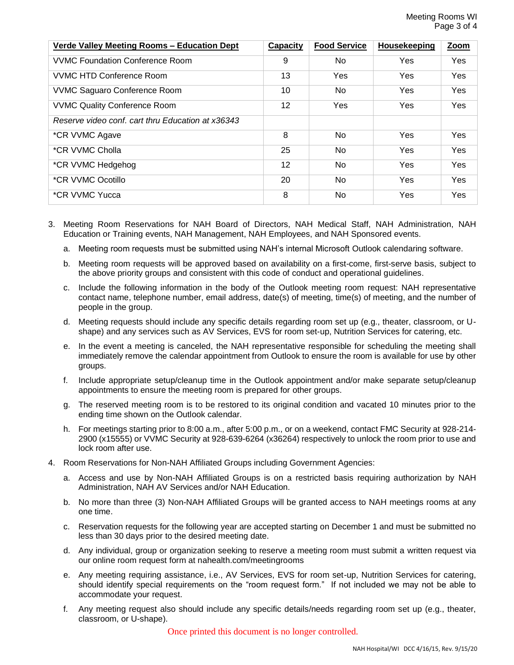| <u><b>Verde Valley Meeting Rooms - Education Dept</b></u> | Capacity        | <b>Food Service</b> | <b>Housekeeping</b> | Zoom       |
|-----------------------------------------------------------|-----------------|---------------------|---------------------|------------|
| VVMC Foundation Conference Room                           | 9               | No                  | Yes                 | Yes        |
| VVMC HTD Conference Room                                  | 13              | Yes                 | Yes                 | <b>Yes</b> |
| <b>VVMC Saguaro Conference Room</b>                       | 10              | No.                 | Yes                 | <b>Yes</b> |
| <b>VVMC Quality Conference Room</b>                       | 12 <sup>2</sup> | Yes                 | Yes                 | <b>Yes</b> |
| Reserve video conf. cart thru Education at x36343         |                 |                     |                     |            |
| *CR VVMC Agave                                            | 8               | No                  | Yes                 | Yes        |
| *CR VVMC Cholla                                           | 25              | No                  | Yes                 | Yes        |
| *CR VVMC Hedgehog                                         | 12              | No                  | <b>Yes</b>          | Yes        |
| *CR VVMC Ocotillo                                         | 20              | No                  | Yes                 | Yes        |
| *CR VVMC Yucca                                            | 8               | No                  | Yes                 | Yes        |

- 3. Meeting Room Reservations for NAH Board of Directors, NAH Medical Staff, NAH Administration, NAH Education or Training events, NAH Management, NAH Employees, and NAH Sponsored events.
	- a. Meeting room requests must be submitted using NAH's internal Microsoft Outlook calendaring software.
	- b. Meeting room requests will be approved based on availability on a first-come, first-serve basis, subject to the above priority groups and consistent with this code of conduct and operational guidelines.
	- c. Include the following information in the body of the Outlook meeting room request: NAH representative contact name, telephone number, email address, date(s) of meeting, time(s) of meeting, and the number of people in the group.
	- d. Meeting requests should include any specific details regarding room set up (e.g., theater, classroom, or Ushape) and any services such as AV Services, EVS for room set-up, Nutrition Services for catering, etc.
	- e. In the event a meeting is canceled, the NAH representative responsible for scheduling the meeting shall immediately remove the calendar appointment from Outlook to ensure the room is available for use by other groups.
	- f. Include appropriate setup/cleanup time in the Outlook appointment and/or make separate setup/cleanup appointments to ensure the meeting room is prepared for other groups.
	- g. The reserved meeting room is to be restored to its original condition and vacated 10 minutes prior to the ending time shown on the Outlook calendar.
	- h. For meetings starting prior to 8:00 a.m., after 5:00 p.m., or on a weekend, contact FMC Security at 928-214- 2900 (x15555) or VVMC Security at 928-639-6264 (x36264) respectively to unlock the room prior to use and lock room after use.
- 4. Room Reservations for Non-NAH Affiliated Groups including Government Agencies:
	- a. Access and use by Non-NAH Affiliated Groups is on a restricted basis requiring authorization by NAH Administration, NAH AV Services and/or NAH Education.
	- b. No more than three (3) Non-NAH Affiliated Groups will be granted access to NAH meetings rooms at any one time.
	- c. Reservation requests for the following year are accepted starting on December 1 and must be submitted no less than 30 days prior to the desired meeting date.
	- d. Any individual, group or organization seeking to reserve a meeting room must submit a written request via our online room request form at nahealth.com/meetingrooms
	- e. Any meeting requiring assistance, i.e., AV Services, EVS for room set-up, Nutrition Services for catering, should identify special requirements on the "room request form." If not included we may not be able to accommodate your request.
	- f. Any meeting request also should include any specific details/needs regarding room set up (e.g., theater, classroom, or U-shape).

Once printed this document is no longer controlled.